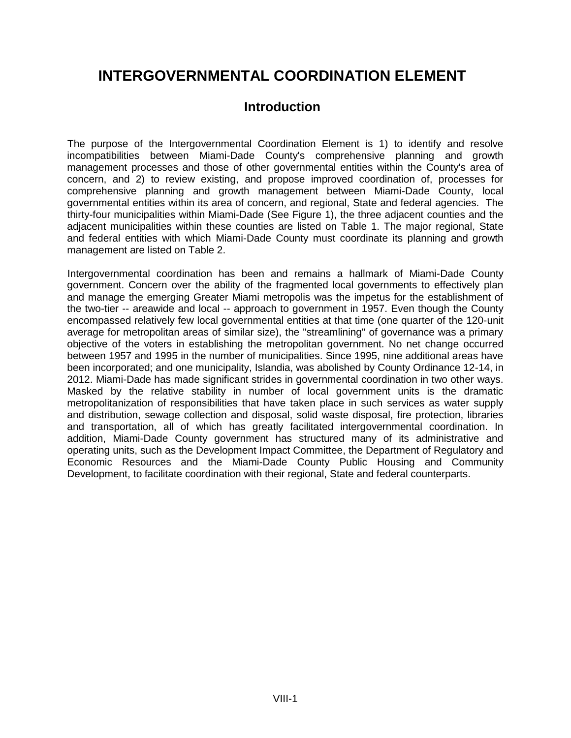# **INTERGOVERNMENTAL COORDINATION ELEMENT**

# **Introduction**

The purpose of the Intergovernmental Coordination Element is 1) to identify and resolve incompatibilities between Miami-Dade County's comprehensive planning and growth management processes and those of other governmental entities within the County's area of concern, and 2) to review existing, and propose improved coordination of, processes for comprehensive planning and growth management between Miami-Dade County, local governmental entities within its area of concern, and regional, State and federal agencies. The thirty-four municipalities within Miami-Dade (See Figure 1), the three adjacent counties and the adjacent municipalities within these counties are listed on Table 1. The major regional, State and federal entities with which Miami-Dade County must coordinate its planning and growth management are listed on Table 2.

Intergovernmental coordination has been and remains a hallmark of Miami-Dade County government. Concern over the ability of the fragmented local governments to effectively plan and manage the emerging Greater Miami metropolis was the impetus for the establishment of the two-tier -- areawide and local -- approach to government in 1957. Even though the County encompassed relatively few local governmental entities at that time (one quarter of the 120-unit average for metropolitan areas of similar size), the "streamlining" of governance was a primary objective of the voters in establishing the metropolitan government. No net change occurred between 1957 and 1995 in the number of municipalities. Since 1995, nine additional areas have been incorporated; and one municipality, Islandia, was abolished by County Ordinance 12-14, in 2012. Miami-Dade has made significant strides in governmental coordination in two other ways. Masked by the relative stability in number of local government units is the dramatic metropolitanization of responsibilities that have taken place in such services as water supply and distribution, sewage collection and disposal, solid waste disposal, fire protection, libraries and transportation, all of which has greatly facilitated intergovernmental coordination. In addition, Miami-Dade County government has structured many of its administrative and operating units, such as the Development Impact Committee, the Department of Regulatory and Economic Resources and the Miami-Dade County Public Housing and Community Development, to facilitate coordination with their regional, State and federal counterparts.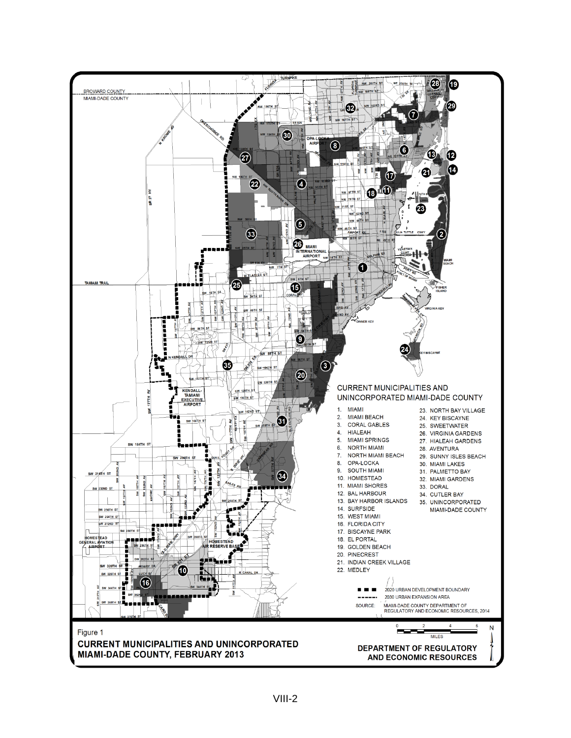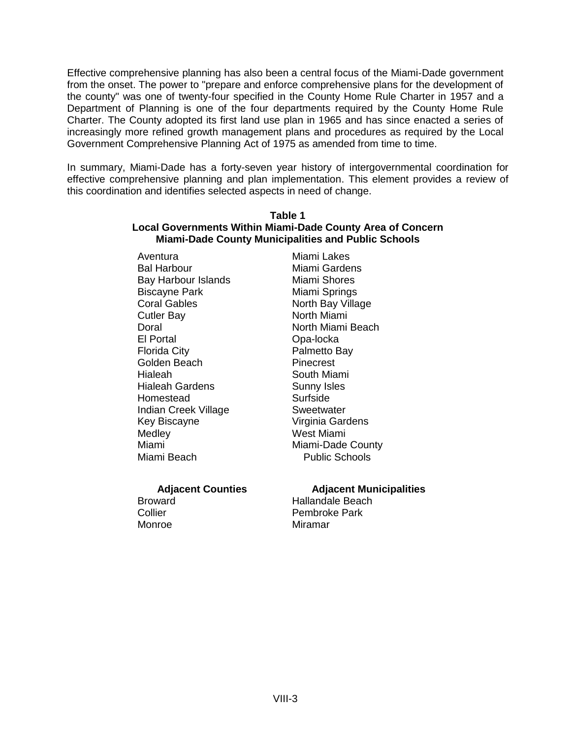Effective comprehensive planning has also been a central focus of the Miami-Dade government from the onset. The power to "prepare and enforce comprehensive plans for the development of the county" was one of twenty-four specified in the County Home Rule Charter in 1957 and a Department of Planning is one of the four departments required by the County Home Rule Charter. The County adopted its first land use plan in 1965 and has since enacted a series of increasingly more refined growth management plans and procedures as required by the Local Government Comprehensive Planning Act of 1975 as amended from time to time.

In summary, Miami-Dade has a forty-seven year history of intergovernmental coordination for effective comprehensive planning and plan implementation. This element provides a review of this coordination and identifies selected aspects in need of change.

#### **Table 1 Local Governments Within Miami-Dade County Area of Concern Miami-Dade County Municipalities and Public Schools**

Aventura Bal Harbour Bay Harbour Islands Biscayne Park Coral Gables Cutler Bay Doral El Portal Florida City Golden Beach Hialeah Hialeah Gardens Homestead Indian Creek Village Key Biscayne **Medley** Miami Miami Beach

Miami Lakes Miami Gardens Miami Shores Miami Springs North Bay Village North Miami North Miami Beach Opa-locka Palmetto Bay Pinecrest South Miami Sunny Isles Surfside **Sweetwater** Virginia Gardens West Miami Miami-Dade County Public Schools

# **Adjacent Counties**

Broward **Collier** Monroe

# **Adjacent Municipalities**

Hallandale Beach Pembroke Park Miramar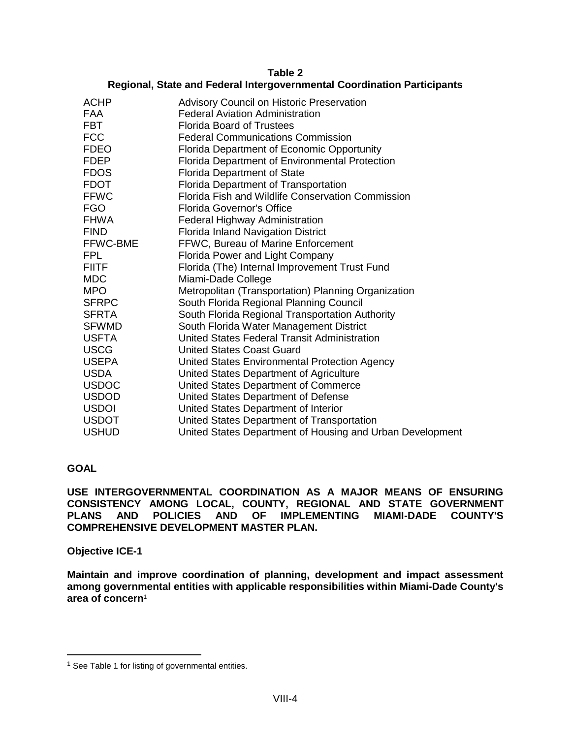### **Table 2**

|  | Regional, State and Federal Intergovernmental Coordination Participants |  |
|--|-------------------------------------------------------------------------|--|
|  |                                                                         |  |

| <b>ACHP</b>  | Advisory Council on Historic Preservation                 |
|--------------|-----------------------------------------------------------|
| FAA.         | <b>Federal Aviation Administration</b>                    |
| <b>FBT</b>   | <b>Florida Board of Trustees</b>                          |
| <b>FCC</b>   | <b>Federal Communications Commission</b>                  |
| <b>FDEO</b>  | Florida Department of Economic Opportunity                |
| <b>FDEP</b>  | Florida Department of Environmental Protection            |
| <b>FDOS</b>  | <b>Florida Department of State</b>                        |
| <b>FDOT</b>  | Florida Department of Transportation                      |
| <b>FFWC</b>  | Florida Fish and Wildlife Conservation Commission         |
| <b>FGO</b>   | Florida Governor's Office                                 |
| <b>FHWA</b>  | <b>Federal Highway Administration</b>                     |
| <b>FIND</b>  | Florida Inland Navigation District                        |
| FFWC-BME     | FFWC, Bureau of Marine Enforcement                        |
| <b>FPL</b>   | Florida Power and Light Company                           |
| <b>FIITF</b> | Florida (The) Internal Improvement Trust Fund             |
| <b>MDC</b>   | Miami-Dade College                                        |
| <b>MPO</b>   | Metropolitan (Transportation) Planning Organization       |
| <b>SFRPC</b> | South Florida Regional Planning Council                   |
| <b>SFRTA</b> | South Florida Regional Transportation Authority           |
| SFWMD        | South Florida Water Management District                   |
| <b>USFTA</b> | United States Federal Transit Administration              |
| <b>USCG</b>  | <b>United States Coast Guard</b>                          |
| <b>USEPA</b> | United States Environmental Protection Agency             |
| <b>USDA</b>  | United States Department of Agriculture                   |
| <b>USDOC</b> | United States Department of Commerce                      |
| <b>USDOD</b> | United States Department of Defense                       |
| <b>USDOI</b> | United States Department of Interior                      |
| <b>USDOT</b> | United States Department of Transportation                |
| <b>USHUD</b> | United States Department of Housing and Urban Development |

# **GOAL**

 $\overline{a}$ 

**USE INTERGOVERNMENTAL COORDINATION AS A MAJOR MEANS OF ENSURING CONSISTENCY AMONG LOCAL, COUNTY, REGIONAL AND STATE GOVERNMENT PLANS AND POLICIES AND OF IMPLEMENTING MIAMI-DADE COUNTY'S COMPREHENSIVE DEVELOPMENT MASTER PLAN.** 

**Objective ICE-1** 

**Maintain and improve coordination of planning, development and impact assessment among governmental entities with applicable responsibilities within Miami-Dade County's area of concern**<sup>1</sup>

<sup>&</sup>lt;sup>1</sup> See Table 1 for listing of governmental entities.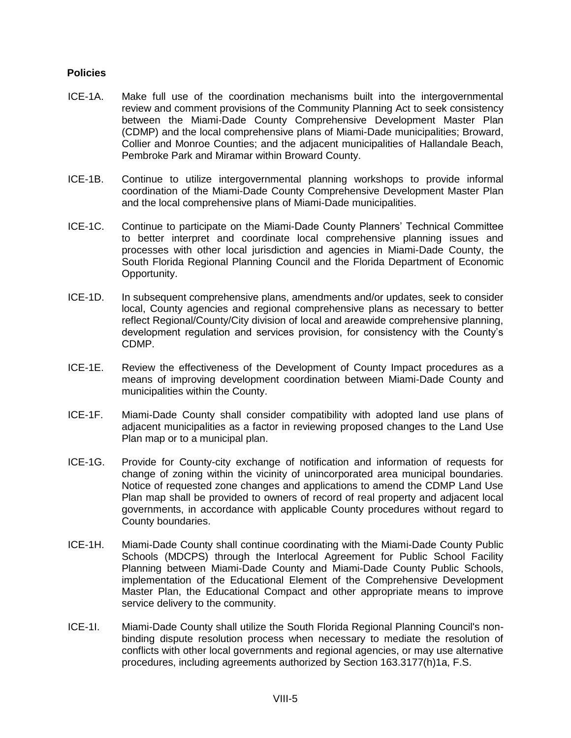- ICE-1A. Make full use of the coordination mechanisms built into the intergovernmental review and comment provisions of the Community Planning Act to seek consistency between the Miami-Dade County Comprehensive Development Master Plan (CDMP) and the local comprehensive plans of Miami-Dade municipalities; Broward, Collier and Monroe Counties; and the adjacent municipalities of Hallandale Beach, Pembroke Park and Miramar within Broward County.
- ICE-1B. Continue to utilize intergovernmental planning workshops to provide informal coordination of the Miami-Dade County Comprehensive Development Master Plan and the local comprehensive plans of Miami-Dade municipalities.
- ICE-1C. Continue to participate on the Miami-Dade County Planners' Technical Committee to better interpret and coordinate local comprehensive planning issues and processes with other local jurisdiction and agencies in Miami-Dade County, the South Florida Regional Planning Council and the Florida Department of Economic Opportunity.
- ICE-1D. In subsequent comprehensive plans, amendments and/or updates, seek to consider local, County agencies and regional comprehensive plans as necessary to better reflect Regional/County/City division of local and areawide comprehensive planning, development regulation and services provision, for consistency with the County's CDMP.
- ICE-1E. Review the effectiveness of the Development of County Impact procedures as a means of improving development coordination between Miami-Dade County and municipalities within the County.
- ICE-1F. Miami-Dade County shall consider compatibility with adopted land use plans of adjacent municipalities as a factor in reviewing proposed changes to the Land Use Plan map or to a municipal plan.
- ICE-1G. Provide for County-city exchange of notification and information of requests for change of zoning within the vicinity of unincorporated area municipal boundaries. Notice of requested zone changes and applications to amend the CDMP Land Use Plan map shall be provided to owners of record of real property and adjacent local governments, in accordance with applicable County procedures without regard to County boundaries.
- ICE-1H. Miami-Dade County shall continue coordinating with the Miami-Dade County Public Schools (MDCPS) through the Interlocal Agreement for Public School Facility Planning between Miami-Dade County and Miami-Dade County Public Schools, implementation of the Educational Element of the Comprehensive Development Master Plan, the Educational Compact and other appropriate means to improve service delivery to the community.
- ICE-1I. Miami-Dade County shall utilize the South Florida Regional Planning Council's nonbinding dispute resolution process when necessary to mediate the resolution of conflicts with other local governments and regional agencies, or may use alternative procedures, including agreements authorized by Section 163.3177(h)1a, F.S.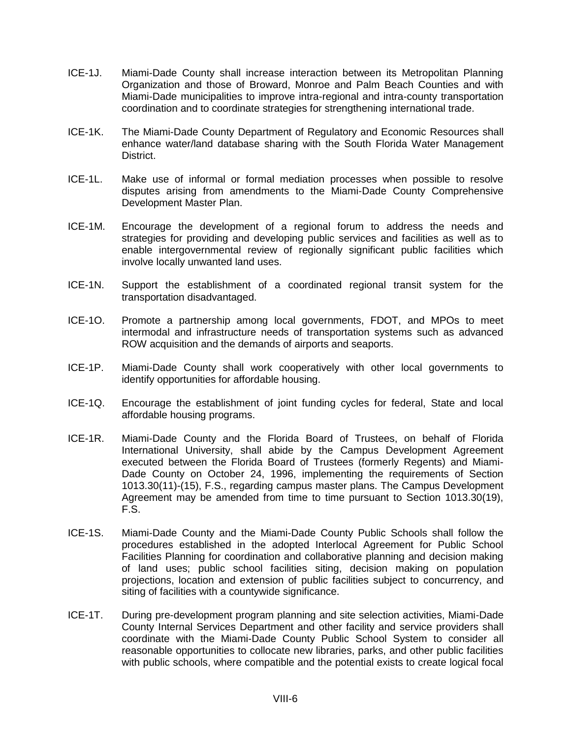- ICE-1J. Miami-Dade County shall increase interaction between its Metropolitan Planning Organization and those of Broward, Monroe and Palm Beach Counties and with Miami-Dade municipalities to improve intra-regional and intra-county transportation coordination and to coordinate strategies for strengthening international trade.
- ICE-1K. The Miami-Dade County Department of Regulatory and Economic Resources shall enhance water/land database sharing with the South Florida Water Management District.
- ICE-1L. Make use of informal or formal mediation processes when possible to resolve disputes arising from amendments to the Miami-Dade County Comprehensive Development Master Plan.
- ICE-1M. Encourage the development of a regional forum to address the needs and strategies for providing and developing public services and facilities as well as to enable intergovernmental review of regionally significant public facilities which involve locally unwanted land uses.
- ICE-1N. Support the establishment of a coordinated regional transit system for the transportation disadvantaged.
- ICE-1O. Promote a partnership among local governments, FDOT, and MPOs to meet intermodal and infrastructure needs of transportation systems such as advanced ROW acquisition and the demands of airports and seaports.
- ICE-1P. Miami-Dade County shall work cooperatively with other local governments to identify opportunities for affordable housing.
- ICE-1Q. Encourage the establishment of joint funding cycles for federal, State and local affordable housing programs.
- ICE-1R. Miami-Dade County and the Florida Board of Trustees, on behalf of Florida International University, shall abide by the Campus Development Agreement executed between the Florida Board of Trustees (formerly Regents) and Miami-Dade County on October 24, 1996, implementing the requirements of Section 1013.30(11)-(15), F.S., regarding campus master plans. The Campus Development Agreement may be amended from time to time pursuant to Section 1013.30(19), F.S.
- ICE-1S. Miami-Dade County and the Miami-Dade County Public Schools shall follow the procedures established in the adopted Interlocal Agreement for Public School Facilities Planning for coordination and collaborative planning and decision making of land uses; public school facilities siting, decision making on population projections, location and extension of public facilities subject to concurrency, and siting of facilities with a countywide significance.
- ICE-1T. During pre-development program planning and site selection activities, Miami-Dade County Internal Services Department and other facility and service providers shall coordinate with the Miami-Dade County Public School System to consider all reasonable opportunities to collocate new libraries, parks, and other public facilities with public schools, where compatible and the potential exists to create logical focal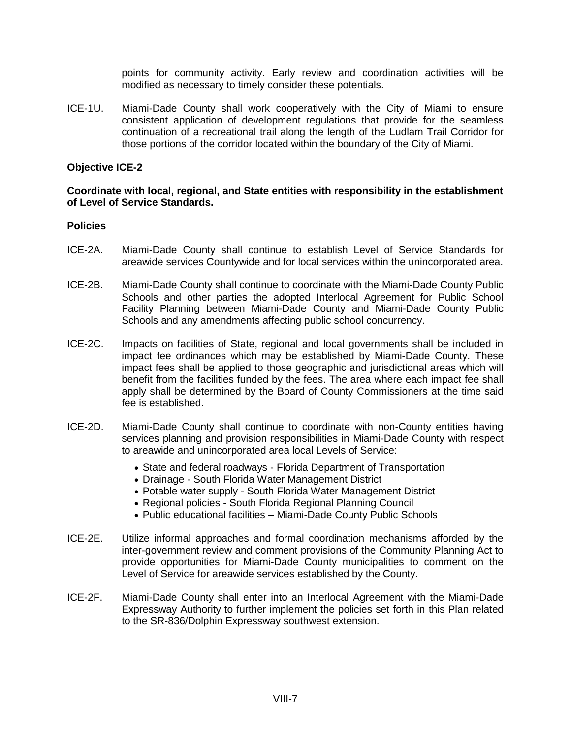points for community activity. Early review and coordination activities will be modified as necessary to timely consider these potentials.

ICE-1U. Miami-Dade County shall work cooperatively with the City of Miami to ensure consistent application of development regulations that provide for the seamless continuation of a recreational trail along the length of the Ludlam Trail Corridor for those portions of the corridor located within the boundary of the City of Miami.

### **Objective ICE-2**

#### **Coordinate with local, regional, and State entities with responsibility in the establishment of Level of Service Standards.**

- ICE-2A. Miami-Dade County shall continue to establish Level of Service Standards for areawide services Countywide and for local services within the unincorporated area.
- ICE-2B. Miami-Dade County shall continue to coordinate with the Miami-Dade County Public Schools and other parties the adopted Interlocal Agreement for Public School Facility Planning between Miami-Dade County and Miami-Dade County Public Schools and any amendments affecting public school concurrency.
- ICE-2C. Impacts on facilities of State, regional and local governments shall be included in impact fee ordinances which may be established by Miami-Dade County. These impact fees shall be applied to those geographic and jurisdictional areas which will benefit from the facilities funded by the fees. The area where each impact fee shall apply shall be determined by the Board of County Commissioners at the time said fee is established.
- ICE-2D. Miami-Dade County shall continue to coordinate with non-County entities having services planning and provision responsibilities in Miami-Dade County with respect to areawide and unincorporated area local Levels of Service:
	- State and federal roadways Florida Department of Transportation
	- Drainage South Florida Water Management District
	- Potable water supply South Florida Water Management District
	- Regional policies South Florida Regional Planning Council
	- Public educational facilities Miami-Dade County Public Schools
- ICE-2E. Utilize informal approaches and formal coordination mechanisms afforded by the inter-government review and comment provisions of the Community Planning Act to provide opportunities for Miami-Dade County municipalities to comment on the Level of Service for areawide services established by the County.
- ICE-2F. Miami-Dade County shall enter into an Interlocal Agreement with the Miami-Dade Expressway Authority to further implement the policies set forth in this Plan related to the SR-836/Dolphin Expressway southwest extension.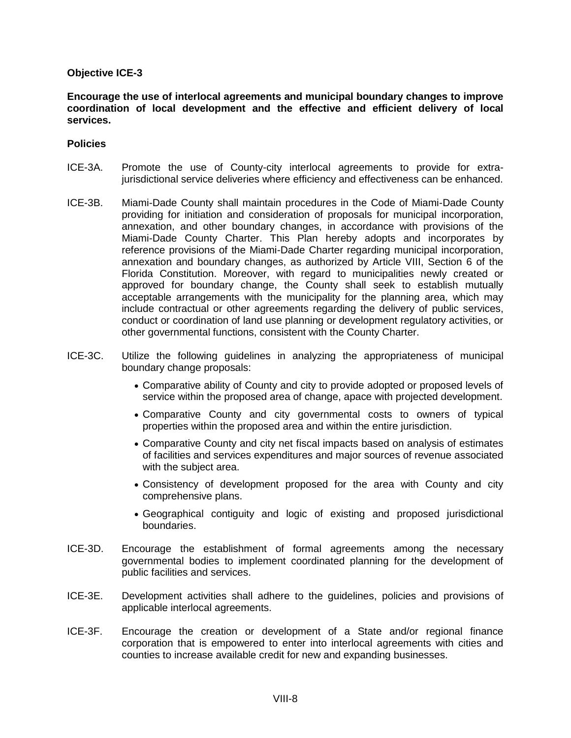**Encourage the use of interlocal agreements and municipal boundary changes to improve coordination of local development and the effective and efficient delivery of local services.** 

- ICE-3A. Promote the use of County-city interlocal agreements to provide for extrajurisdictional service deliveries where efficiency and effectiveness can be enhanced.
- ICE-3B. Miami-Dade County shall maintain procedures in the Code of Miami-Dade County providing for initiation and consideration of proposals for municipal incorporation, annexation, and other boundary changes, in accordance with provisions of the Miami-Dade County Charter. This Plan hereby adopts and incorporates by reference provisions of the Miami-Dade Charter regarding municipal incorporation, annexation and boundary changes, as authorized by Article VIII, Section 6 of the Florida Constitution. Moreover, with regard to municipalities newly created or approved for boundary change, the County shall seek to establish mutually acceptable arrangements with the municipality for the planning area, which may include contractual or other agreements regarding the delivery of public services, conduct or coordination of land use planning or development regulatory activities, or other governmental functions, consistent with the County Charter.
- ICE-3C. Utilize the following guidelines in analyzing the appropriateness of municipal boundary change proposals:
	- Comparative ability of County and city to provide adopted or proposed levels of service within the proposed area of change, apace with projected development.
	- Comparative County and city governmental costs to owners of typical properties within the proposed area and within the entire jurisdiction.
	- Comparative County and city net fiscal impacts based on analysis of estimates of facilities and services expenditures and major sources of revenue associated with the subject area.
	- Consistency of development proposed for the area with County and city comprehensive plans.
	- Geographical contiguity and logic of existing and proposed jurisdictional boundaries.
- ICE-3D. Encourage the establishment of formal agreements among the necessary governmental bodies to implement coordinated planning for the development of public facilities and services.
- ICE-3E. Development activities shall adhere to the guidelines, policies and provisions of applicable interlocal agreements.
- ICE-3F. Encourage the creation or development of a State and/or regional finance corporation that is empowered to enter into interlocal agreements with cities and counties to increase available credit for new and expanding businesses.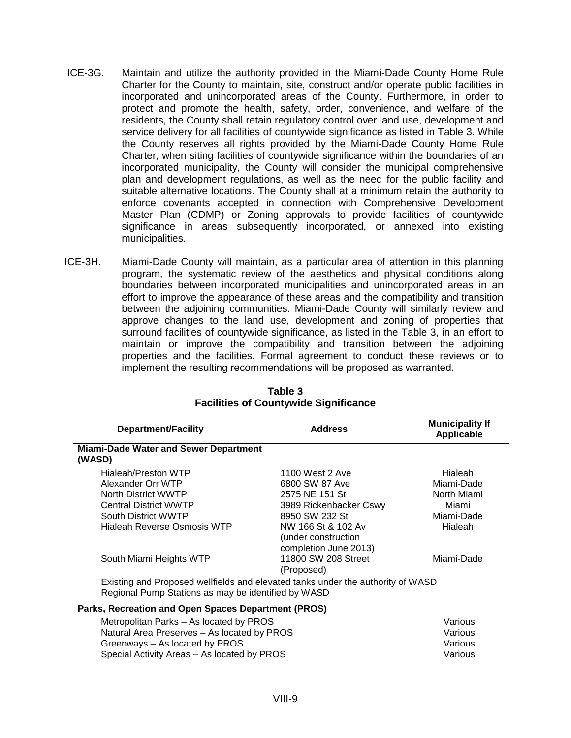- ICE-3G. Maintain and utilize the authority provided in the Miami-Dade County Home Rule Charter for the County to maintain, site, construct and/or operate public facilities in incorporated and unincorporated areas of the County. Furthermore, in order to protect and promote the health, safety, order, convenience, and welfare of the residents, the County shall retain regulatory control over land use, development and service delivery for all facilities of countywide significance as listed in Table 3. While the County reserves all rights provided by the Miami-Dade County Home Rule Charter, when siting facilities of countywide significance within the boundaries of an incorporated municipality, the County will consider the municipal comprehensive plan and development regulations, as well as the need for the public facility and suitable alternative locations. The County shall at a minimum retain the authority to enforce covenants accepted in connection with Comprehensive Development Master Plan (CDMP) or Zoning approvals to provide facilities of countywide significance in areas subsequently incorporated, or annexed into existing municipalities.
- ICE-3H. Miami-Dade County will maintain, as a particular area of attention in this planning program, the systematic review of the aesthetics and physical conditions along boundaries between incorporated municipalities and unincorporated areas in an effort to improve the appearance of these areas and the compatibility and transition between the adjoining communities. Miami-Dade County will similarly review and approve changes to the land use, development and zoning of properties that surround facilities of countywide significance, as listed in the Table 3, in an effort to maintain or improve the compatibility and transition between the adjoining properties and the facilities. Formal agreement to conduct these reviews or to implement the resulting recommendations will be proposed as warranted.

| <b>Department/Facility</b>                                                                                                             | <b>Address</b>                                                      | <b>Municipality If</b><br><b>Applicable</b> |
|----------------------------------------------------------------------------------------------------------------------------------------|---------------------------------------------------------------------|---------------------------------------------|
| <b>Miami-Dade Water and Sewer Department</b><br>(WASD)                                                                                 |                                                                     |                                             |
| Hialeah/Preston WTP                                                                                                                    | 1100 West 2 Ave                                                     | <b>Hialeah</b>                              |
| Alexander Orr WTP                                                                                                                      | 6800 SW 87 Ave                                                      | Miami-Dade                                  |
| North District WWTP                                                                                                                    | 2575 NE 151 St                                                      | North Miami                                 |
| <b>Central District WWTP</b>                                                                                                           | 3989 Rickenbacker Cswy                                              | Miami                                       |
| South District WWTP                                                                                                                    | 8950 SW 232 St                                                      | Miami-Dade                                  |
| Hialeah Reverse Osmosis WTP                                                                                                            | NW 166 St & 102 Av<br>(under construction)<br>completion June 2013) | Hialeah                                     |
| South Miami Heights WTP                                                                                                                | 11800 SW 208 Street<br>(Proposed)                                   | Miami-Dade                                  |
| Existing and Proposed wellfields and elevated tanks under the authority of WASD<br>Regional Pump Stations as may be identified by WASD |                                                                     |                                             |
| Parks, Recreation and Open Spaces Department (PROS)                                                                                    |                                                                     |                                             |

| Table 3 |                                              |
|---------|----------------------------------------------|
|         | <b>Facilities of Countywide Significance</b> |

| Metropolitan Parks – As located by PROS     | Various |
|---------------------------------------------|---------|
| Natural Area Preserves – As located by PROS | Various |
| Greenways – As located by PROS              | Various |
| Special Activity Areas – As located by PROS | Various |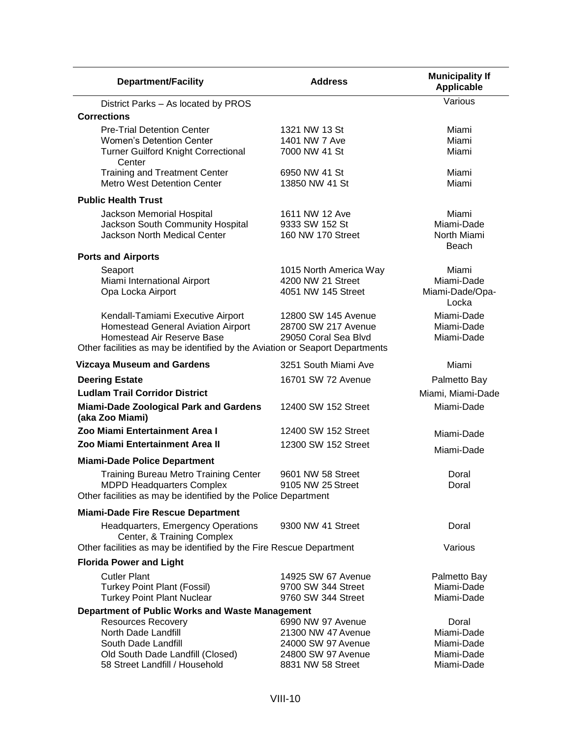| <b>Department/Facility</b>                                                   | <b>Address</b>                  | <b>Municipality If</b><br><b>Applicable</b> |
|------------------------------------------------------------------------------|---------------------------------|---------------------------------------------|
| District Parks - As located by PROS                                          |                                 | Various                                     |
| <b>Corrections</b>                                                           |                                 |                                             |
| <b>Pre-Trial Detention Center</b>                                            | 1321 NW 13 St                   | Miami                                       |
| <b>Women's Detention Center</b>                                              | 1401 NW 7 Ave                   | Miami                                       |
| <b>Turner Guilford Knight Correctional</b><br>Center                         | 7000 NW 41 St                   | Miami                                       |
| <b>Training and Treatment Center</b><br><b>Metro West Detention Center</b>   | 6950 NW 41 St<br>13850 NW 41 St | Miami<br>Miami                              |
| <b>Public Health Trust</b>                                                   |                                 |                                             |
| Jackson Memorial Hospital                                                    | 1611 NW 12 Ave                  | Miami                                       |
| Jackson South Community Hospital                                             | 9333 SW 152 St                  | Miami-Dade                                  |
| <b>Jackson North Medical Center</b>                                          | 160 NW 170 Street               | North Miami                                 |
| <b>Ports and Airports</b>                                                    |                                 | Beach                                       |
| Seaport                                                                      | 1015 North America Way          | Miami                                       |
| Miami International Airport                                                  | 4200 NW 21 Street               | Miami-Dade                                  |
| Opa Locka Airport                                                            | 4051 NW 145 Street              | Miami-Dade/Opa-<br>Locka                    |
| Kendall-Tamiami Executive Airport                                            | 12800 SW 145 Avenue             | Miami-Dade                                  |
| <b>Homestead General Aviation Airport</b>                                    | 28700 SW 217 Avenue             | Miami-Dade                                  |
| Homestead Air Reserve Base                                                   | 29050 Coral Sea Blvd            | Miami-Dade                                  |
| Other facilities as may be identified by the Aviation or Seaport Departments |                                 |                                             |
| <b>Vizcaya Museum and Gardens</b>                                            | 3251 South Miami Ave            | Miami                                       |
| <b>Deering Estate</b>                                                        | 16701 SW 72 Avenue              | Palmetto Bay                                |
| <b>Ludlam Trail Corridor District</b>                                        |                                 | Miami, Miami-Dade                           |
| <b>Miami-Dade Zoological Park and Gardens</b><br>(aka Zoo Miami)             | 12400 SW 152 Street             | Miami-Dade                                  |
| Zoo Miami Entertainment Area I                                               | 12400 SW 152 Street             | Miami-Dade                                  |
| Zoo Miami Entertainment Area II                                              | 12300 SW 152 Street             |                                             |
| <b>Miami-Dade Police Department</b>                                          |                                 | Miami-Dade                                  |
| <b>Training Bureau Metro Training Center</b>                                 | 9601 NW 58 Street               | Doral                                       |
| <b>MDPD Headquarters Complex</b>                                             | 9105 NW 25 Street               | Doral                                       |
| Other facilities as may be identified by the Police Department               |                                 |                                             |
| <b>Miami-Dade Fire Rescue Department</b>                                     |                                 |                                             |
| <b>Headquarters, Emergency Operations</b><br>Center, & Training Complex      | 9300 NW 41 Street               | Doral                                       |
| Other facilities as may be identified by the Fire Rescue Department          |                                 | Various                                     |
| <b>Florida Power and Light</b>                                               |                                 |                                             |
| <b>Cutler Plant</b>                                                          | 14925 SW 67 Avenue              | Palmetto Bay                                |
| <b>Turkey Point Plant (Fossil)</b>                                           | 9700 SW 344 Street              | Miami-Dade                                  |
| <b>Turkey Point Plant Nuclear</b><br>9760 SW 344 Street<br>Miami-Dade        |                                 |                                             |
| Department of Public Works and Waste Management<br><b>Resources Recovery</b> | 6990 NW 97 Avenue               | Doral                                       |
| North Dade Landfill                                                          | 21300 NW 47 Avenue              | Miami-Dade                                  |
| South Dade Landfill                                                          | 24000 SW 97 Avenue              | Miami-Dade                                  |
| Old South Dade Landfill (Closed)                                             | 24800 SW 97 Avenue              | Miami-Dade                                  |
| 58 Street Landfill / Household                                               | 8831 NW 58 Street               | Miami-Dade                                  |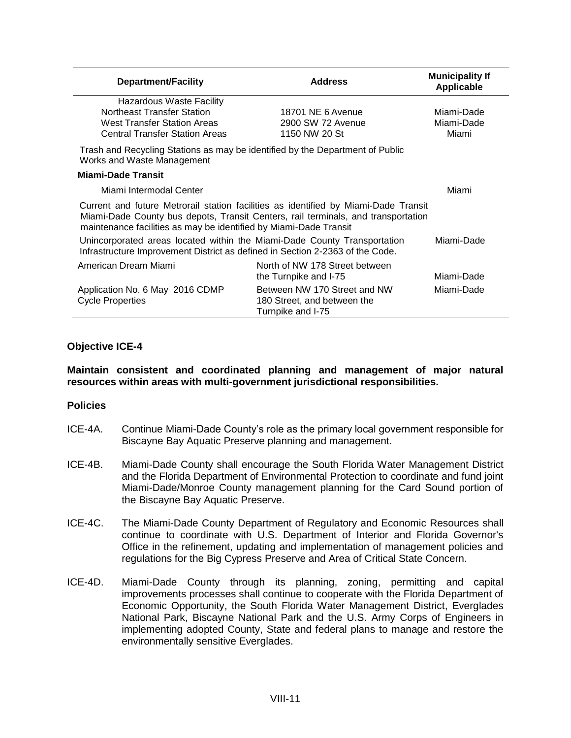| <b>Department/Facility</b>                                                                                                                                                                                                                    | <b>Address</b>                 | <b>Municipality If</b><br>Applicable |  |
|-----------------------------------------------------------------------------------------------------------------------------------------------------------------------------------------------------------------------------------------------|--------------------------------|--------------------------------------|--|
| <b>Hazardous Waste Facility</b>                                                                                                                                                                                                               |                                |                                      |  |
| <b>Northeast Transfer Station</b>                                                                                                                                                                                                             | 18701 NE 6 Avenue              | Miami-Dade                           |  |
| <b>West Transfer Station Areas</b>                                                                                                                                                                                                            | 2900 SW 72 Avenue              | Miami-Dade                           |  |
| <b>Central Transfer Station Areas</b>                                                                                                                                                                                                         | 1150 NW 20 St                  | Miami                                |  |
| Trash and Recycling Stations as may be identified by the Department of Public<br>Works and Waste Management                                                                                                                                   |                                |                                      |  |
| <b>Miami-Dade Transit</b>                                                                                                                                                                                                                     |                                |                                      |  |
| Miami Intermodal Center                                                                                                                                                                                                                       |                                | Miami                                |  |
| Current and future Metrorail station facilities as identified by Miami-Dade Transit<br>Miami-Dade County bus depots, Transit Centers, rail terminals, and transportation<br>maintenance facilities as may be identified by Miami-Dade Transit |                                |                                      |  |
| Unincorporated areas located within the Miami-Dade County Transportation<br>Infrastructure Improvement District as defined in Section 2-2363 of the Code.                                                                                     | Miami-Dade                     |                                      |  |
| American Dream Miami                                                                                                                                                                                                                          | North of NW 178 Street between |                                      |  |
|                                                                                                                                                                                                                                               | the Turnpike and I-75          | Miami-Dade                           |  |
| Application No. 6 May 2016 CDMP                                                                                                                                                                                                               | Between NW 170 Street and NW   | Miami-Dade                           |  |
| <b>Cycle Properties</b>                                                                                                                                                                                                                       | 180 Street, and between the    |                                      |  |
|                                                                                                                                                                                                                                               | Turnpike and I-75              |                                      |  |

# **Maintain consistent and coordinated planning and management of major natural resources within areas with multi-government jurisdictional responsibilities.**

- ICE-4A. Continue Miami-Dade County's role as the primary local government responsible for Biscayne Bay Aquatic Preserve planning and management.
- ICE-4B. Miami-Dade County shall encourage the South Florida Water Management District and the Florida Department of Environmental Protection to coordinate and fund joint Miami-Dade/Monroe County management planning for the Card Sound portion of the Biscayne Bay Aquatic Preserve.
- ICE-4C. The Miami-Dade County Department of Regulatory and Economic Resources shall continue to coordinate with U.S. Department of Interior and Florida Governor's Office in the refinement, updating and implementation of management policies and regulations for the Big Cypress Preserve and Area of Critical State Concern.
- ICE-4D. Miami-Dade County through its planning, zoning, permitting and capital improvements processes shall continue to cooperate with the Florida Department of Economic Opportunity, the South Florida Water Management District, Everglades National Park, Biscayne National Park and the U.S. Army Corps of Engineers in implementing adopted County, State and federal plans to manage and restore the environmentally sensitive Everglades.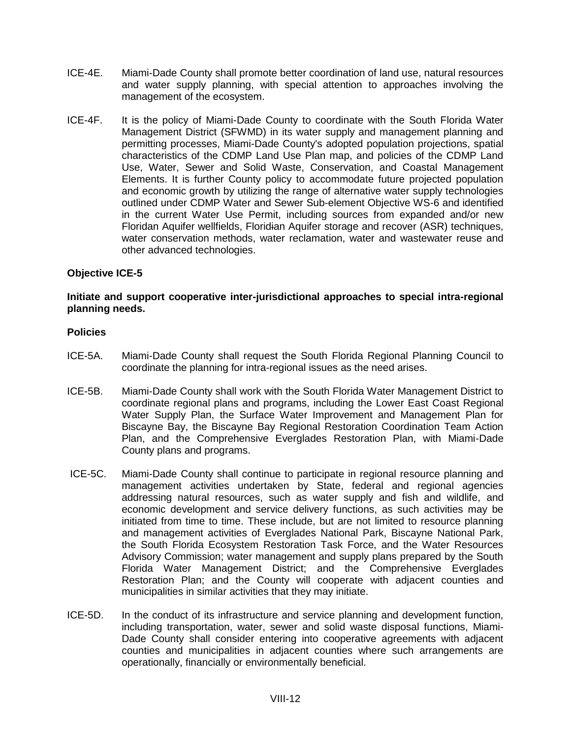- ICE-4E. Miami-Dade County shall promote better coordination of land use, natural resources and water supply planning, with special attention to approaches involving the management of the ecosystem.
- ICE-4F. It is the policy of Miami-Dade County to coordinate with the South Florida Water Management District (SFWMD) in its water supply and management planning and permitting processes, Miami-Dade County's adopted population projections, spatial characteristics of the CDMP Land Use Plan map, and policies of the CDMP Land Use, Water, Sewer and Solid Waste, Conservation, and Coastal Management Elements. It is further County policy to accommodate future projected population and economic growth by utilizing the range of alternative water supply technologies outlined under CDMP Water and Sewer Sub-element Objective WS-6 and identified in the current Water Use Permit, including sources from expanded and/or new Floridan Aquifer wellfields, Floridian Aquifer storage and recover (ASR) techniques, water conservation methods, water reclamation, water and wastewater reuse and other advanced technologies.

#### **Initiate and support cooperative inter-jurisdictional approaches to special intra-regional planning needs.**

- ICE-5A. Miami-Dade County shall request the South Florida Regional Planning Council to coordinate the planning for intra-regional issues as the need arises.
- ICE-5B. Miami-Dade County shall work with the South Florida Water Management District to coordinate regional plans and programs, including the Lower East Coast Regional Water Supply Plan, the Surface Water Improvement and Management Plan for Biscayne Bay, the Biscayne Bay Regional Restoration Coordination Team Action Plan, and the Comprehensive Everglades Restoration Plan, with Miami-Dade County plans and programs.
- ICE-5C. Miami-Dade County shall continue to participate in regional resource planning and management activities undertaken by State, federal and regional agencies addressing natural resources, such as water supply and fish and wildlife, and economic development and service delivery functions, as such activities may be initiated from time to time. These include, but are not limited to resource planning and management activities of Everglades National Park, Biscayne National Park, the South Florida Ecosystem Restoration Task Force, and the Water Resources Advisory Commission; water management and supply plans prepared by the South Florida Water Management District; and the Comprehensive Everglades Restoration Plan; and the County will cooperate with adjacent counties and municipalities in similar activities that they may initiate.
- ICE-5D. In the conduct of its infrastructure and service planning and development function, including transportation, water, sewer and solid waste disposal functions, Miami-Dade County shall consider entering into cooperative agreements with adjacent counties and municipalities in adjacent counties where such arrangements are operationally, financially or environmentally beneficial.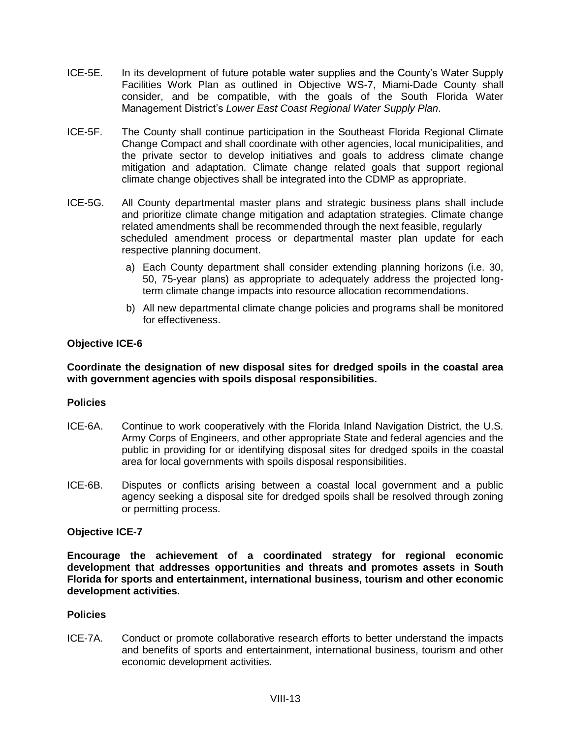- ICE-5E. In its development of future potable water supplies and the County's Water Supply Facilities Work Plan as outlined in Objective WS-7, Miami-Dade County shall consider, and be compatible, with the goals of the South Florida Water Management District's *Lower East Coast Regional Water Supply Plan*.
- ICE-5F. The County shall continue participation in the Southeast Florida Regional Climate Change Compact and shall coordinate with other agencies, local municipalities, and the private sector to develop initiatives and goals to address climate change mitigation and adaptation. Climate change related goals that support regional climate change objectives shall be integrated into the CDMP as appropriate.
- ICE-5G. All County departmental master plans and strategic business plans shall include and prioritize climate change mitigation and adaptation strategies. Climate change related amendments shall be recommended through the next feasible, regularly scheduled amendment process or departmental master plan update for each respective planning document.
	- a) Each County department shall consider extending planning horizons (i.e. 30, 50, 75-year plans) as appropriate to adequately address the projected longterm climate change impacts into resource allocation recommendations.
	- b) All new departmental climate change policies and programs shall be monitored for effectiveness.

### **Coordinate the designation of new disposal sites for dredged spoils in the coastal area with government agencies with spoils disposal responsibilities.**

# **Policies**

- ICE-6A. Continue to work cooperatively with the Florida Inland Navigation District, the U.S. Army Corps of Engineers, and other appropriate State and federal agencies and the public in providing for or identifying disposal sites for dredged spoils in the coastal area for local governments with spoils disposal responsibilities.
- ICE-6B. Disputes or conflicts arising between a coastal local government and a public agency seeking a disposal site for dredged spoils shall be resolved through zoning or permitting process.

# **Objective ICE-7**

**Encourage the achievement of a coordinated strategy for regional economic development that addresses opportunities and threats and promotes assets in South Florida for sports and entertainment, international business, tourism and other economic development activities.**

#### **Policies**

ICE-7A. Conduct or promote collaborative research efforts to better understand the impacts and benefits of sports and entertainment, international business, tourism and other economic development activities.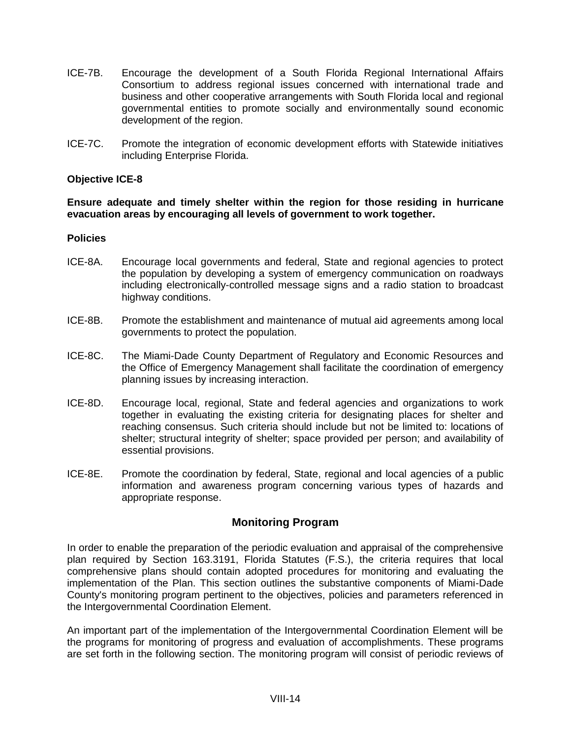- ICE-7B. Encourage the development of a South Florida Regional International Affairs Consortium to address regional issues concerned with international trade and business and other cooperative arrangements with South Florida local and regional governmental entities to promote socially and environmentally sound economic development of the region.
- ICE-7C. Promote the integration of economic development efforts with Statewide initiatives including Enterprise Florida.

**Ensure adequate and timely shelter within the region for those residing in hurricane evacuation areas by encouraging all levels of government to work together.** 

#### **Policies**

- ICE-8A. Encourage local governments and federal, State and regional agencies to protect the population by developing a system of emergency communication on roadways including electronically-controlled message signs and a radio station to broadcast highway conditions.
- ICE-8B. Promote the establishment and maintenance of mutual aid agreements among local governments to protect the population.
- ICE-8C. The Miami-Dade County Department of Regulatory and Economic Resources and the Office of Emergency Management shall facilitate the coordination of emergency planning issues by increasing interaction.
- ICE-8D. Encourage local, regional, State and federal agencies and organizations to work together in evaluating the existing criteria for designating places for shelter and reaching consensus. Such criteria should include but not be limited to: locations of shelter; structural integrity of shelter; space provided per person; and availability of essential provisions.
- ICE-8E. Promote the coordination by federal, State, regional and local agencies of a public information and awareness program concerning various types of hazards and appropriate response.

# **Monitoring Program**

In order to enable the preparation of the periodic evaluation and appraisal of the comprehensive plan required by Section 163.3191, Florida Statutes (F.S.), the criteria requires that local comprehensive plans should contain adopted procedures for monitoring and evaluating the implementation of the Plan. This section outlines the substantive components of Miami-Dade County's monitoring program pertinent to the objectives, policies and parameters referenced in the Intergovernmental Coordination Element.

An important part of the implementation of the Intergovernmental Coordination Element will be the programs for monitoring of progress and evaluation of accomplishments. These programs are set forth in the following section. The monitoring program will consist of periodic reviews of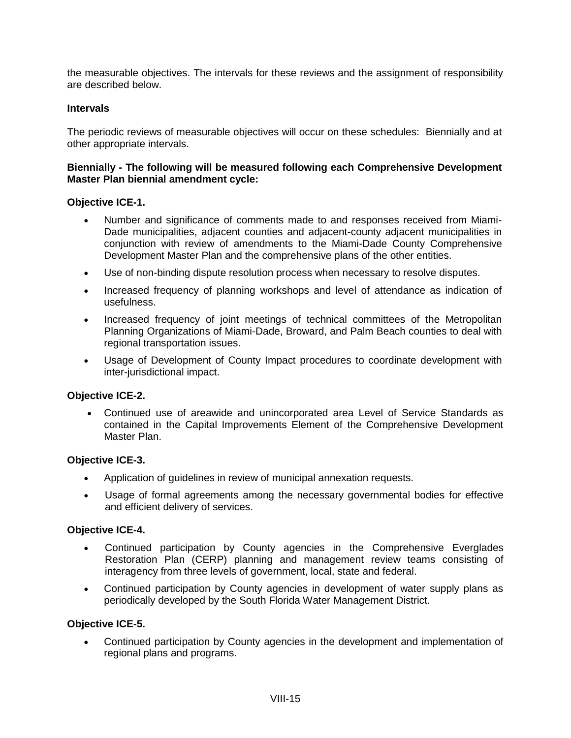the measurable objectives. The intervals for these reviews and the assignment of responsibility are described below.

# **Intervals**

The periodic reviews of measurable objectives will occur on these schedules: Biennially and at other appropriate intervals.

# **Biennially - The following will be measured following each Comprehensive Development Master Plan biennial amendment cycle:**

# **Objective ICE-1.**

- Number and significance of comments made to and responses received from Miami-Dade municipalities, adjacent counties and adjacent-county adjacent municipalities in conjunction with review of amendments to the Miami-Dade County Comprehensive Development Master Plan and the comprehensive plans of the other entities.
- Use of non-binding dispute resolution process when necessary to resolve disputes.
- Increased frequency of planning workshops and level of attendance as indication of usefulness.
- Increased frequency of joint meetings of technical committees of the Metropolitan Planning Organizations of Miami-Dade, Broward, and Palm Beach counties to deal with regional transportation issues.
- Usage of Development of County Impact procedures to coordinate development with inter-jurisdictional impact.

# **Objective ICE-2.**

 Continued use of areawide and unincorporated area Level of Service Standards as contained in the Capital Improvements Element of the Comprehensive Development Master Plan.

# **Objective ICE-3.**

- Application of guidelines in review of municipal annexation requests.
- Usage of formal agreements among the necessary governmental bodies for effective and efficient delivery of services.

# **Objective ICE-4.**

- Continued participation by County agencies in the Comprehensive Everglades Restoration Plan (CERP) planning and management review teams consisting of interagency from three levels of government, local, state and federal.
- Continued participation by County agencies in development of water supply plans as periodically developed by the South Florida Water Management District.

# **Objective ICE-5.**

 Continued participation by County agencies in the development and implementation of regional plans and programs.